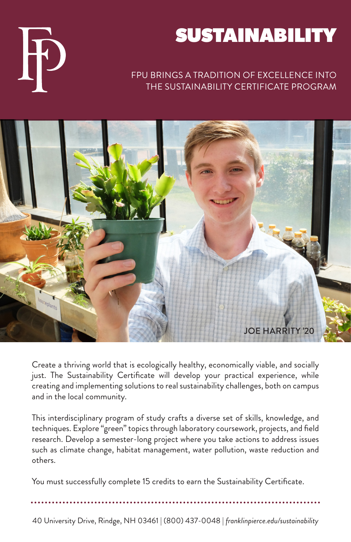## SUSTAINABILITY

## FPU BRINGS A TRADITION OF EXCELLENCE INTO THE SUSTAINABILITY CERTIFICATE PROGRAM



Create a thriving world that is ecologically healthy, economically viable, and socially just. The Sustainability Certificate will develop your practical experience, while creating and implementing solutions to real sustainability challenges, both on campus and in the local community.

This interdisciplinary program of study crafts a diverse set of skills, knowledge, and techniques. Explore "green" topics through laboratory coursework, projects, and field research. Develop a semester-long project where you take actions to address issues such as climate change, habitat management, water pollution, waste reduction and others.

You must successfully complete 15 credits to earn the Sustainability Certificate.

40 University Drive, Rindge, NH 03461 | (800) 437-0048 | *franklinpierce.edu/sustainability*